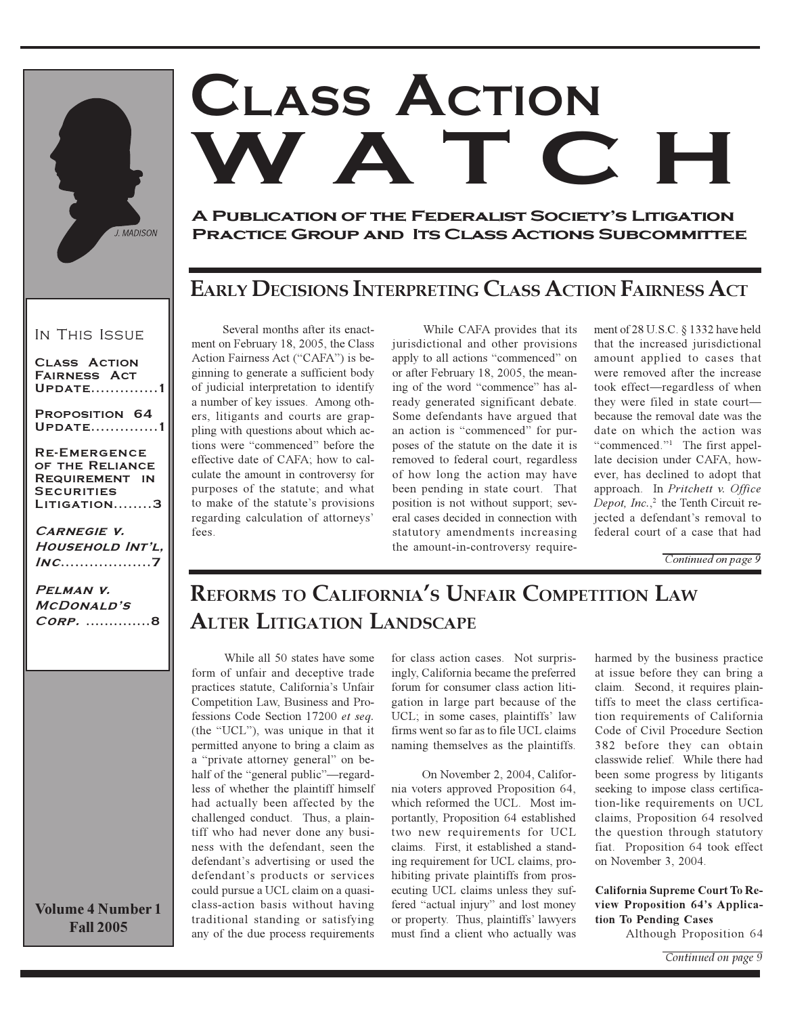

# CLASS ACTION W A T C H

A Publication of the Federalist Society's Litigation Practice Group and Its Class Actions Subcommittee

#### EARLY DECISIONS INTERPRETING CLASS ACTION FAIRNESS ACT

#### In This Issue

Class Action Fairness Act UPDATE..............1 PROPOSITION 64 Update..............1

Re-Emergence of the Reliance Requirement in **SECURITIES** LITIGATION........3

CARNEGIE V. Household Int'l, Inc...................7

Pelman v. McDonald's Corp. ..............8

Volume 4 Number 1 Fall 2005

Several months after its enactment on February 18, 2005, the Class Action Fairness Act ("CAFA") is beginning to generate a sufficient body of judicial interpretation to identify a number of key issues. Among others, litigants and courts are grappling with questions about which actions were "commenced" before the effective date of CAFA; how to calculate the amount in controversy for purposes of the statute; and what to make of the statute's provisions regarding calculation of attorneys' fees.

While CAFA provides that its jurisdictional and other provisions apply to all actions "commenced" on or after February 18, 2005, the meaning of the word "commence" has already generated significant debate. Some defendants have argued that an action is "commenced" for purposes of the statute on the date it is removed to federal court, regardless of how long the action may have been pending in state court. That position is not without support; several cases decided in connection with statutory amendments increasing the amount-in-controversy require-

ment of 28 U.S.C. § 1332 have held that the increased jurisdictional amount applied to cases that were removed after the increase took effect—regardless of when they were filed in state court because the removal date was the date on which the action was "commenced."1 The first appellate decision under CAFA, however, has declined to adopt that approach. In Pritchett v. Office Depot, Inc.,<sup>2</sup> the Tenth Circuit rejected a defendant's removal to federal court of a case that had

Continued on page 9

#### REFORMS TO CALIFORNIA'S UNFAIR COMPETITION LAW ALTER LITIGATION LANDSCAPE

While all 50 states have some form of unfair and deceptive trade practices statute, California's Unfair Competition Law, Business and Professions Code Section 17200 et seq. (the "UCL"), was unique in that it permitted anyone to bring a claim as a "private attorney general" on behalf of the "general public"—regardless of whether the plaintiff himself had actually been affected by the challenged conduct. Thus, a plaintiff who had never done any business with the defendant, seen the defendant's advertising or used the defendant's products or services could pursue a UCL claim on a quasiclass-action basis without having traditional standing or satisfying any of the due process requirements

for class action cases. Not surprisingly, California became the preferred forum for consumer class action litigation in large part because of the UCL; in some cases, plaintiffs' law firms went so far as to file UCL claims naming themselves as the plaintiffs.

On November 2, 2004, California voters approved Proposition 64, which reformed the UCL. Most importantly, Proposition 64 established two new requirements for UCL claims. First, it established a standing requirement for UCL claims, prohibiting private plaintiffs from prosecuting UCL claims unless they suffered "actual injury" and lost money or property. Thus, plaintiffs' lawyers must find a client who actually was

harmed by the business practice at issue before they can bring a claim. Second, it requires plaintiffs to meet the class certification requirements of California Code of Civil Procedure Section 382 before they can obtain classwide relief. While there had been some progress by litigants seeking to impose class certification-like requirements on UCL claims, Proposition 64 resolved the question through statutory fiat. Proposition 64 took effect on November 3, 2004.

California Supreme Court To Review Proposition 64's Application To Pending Cases

Although Proposition 64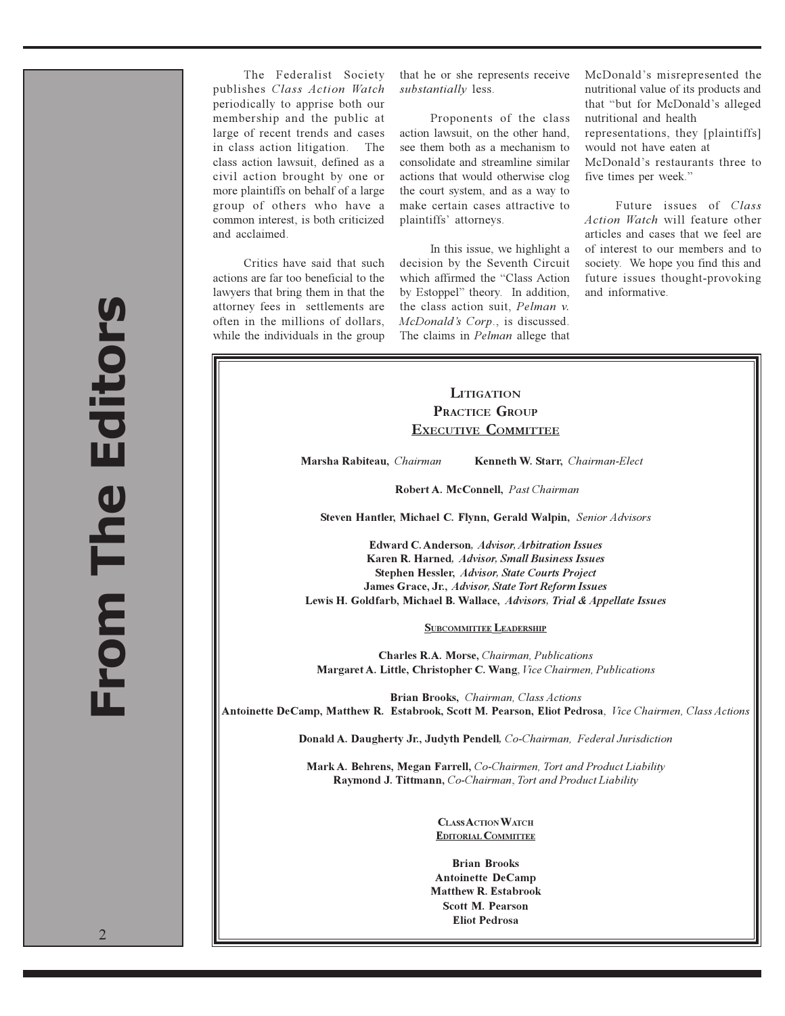The Federalist Society publishes Class Action Watch periodically to apprise both our membership and the public at large of recent trends and cases in class action litigation. The class action lawsuit, defined as a civil action brought by one or more plaintiffs on behalf of a large group of others who have a common interest, is both criticized and acclaimed.

Critics have said that such actions are far too beneficial to the lawyers that bring them in that the attorney fees in settlements are often in the millions of dollars, while the individuals in the group

that he or she represents receive substantially less.

Proponents of the class action lawsuit, on the other hand, see them both as a mechanism to consolidate and streamline similar actions that would otherwise clog the court system, and as a way to make certain cases attractive to plaintiffs' attorneys.

In this issue, we highlight a decision by the Seventh Circuit which affirmed the "Class Action by Estoppel" theory. In addition, the class action suit, Pelman v. McDonald's Corp., is discussed. The claims in Pelman allege that

McDonald's misrepresented the nutritional value of its products and that "but for McDonald's alleged nutritional and health representations, they [plaintiffs] would not have eaten at McDonald's restaurants three to five times per week."

Future issues of Class Action Watch will feature other articles and cases that we feel are of interest to our members and to society. We hope you find this and future issues thought-provoking and informative.

#### **LITIGATION** PRACTICE GROUP EXECUTIVE COMMITTEE

Marsha Rabiteau, Chairman Kenneth W. Starr, Chairman-Elect

Robert A. McConnell, Past Chairman

Steven Hantler, Michael C. Flynn, Gerald Walpin, Senior Advisors

Edward C. Anderson, Advisor, Arbitration Issues Karen R. Harned, Advisor, Small Business Issues Stephen Hessler, Advisor, State Courts Project James Grace, Jr., Advisor, State Tort Reform Issues Lewis H. Goldfarb, Michael B. Wallace, Advisors, Trial & Appellate Issues

SUBCOMMITTEE LEADERSHIP

Charles R.A. Morse, Chairman, Publications Margaret A. Little, Christopher C. Wang, Vice Chairmen, Publications

Brian Brooks, Chairman, Class Actions Antoinette DeCamp, Matthew R. Estabrook, Scott M. Pearson, Eliot Pedrosa, Vice Chairmen, Class Actions

Donald A. Daugherty Jr., Judyth Pendell, Co-Chairman, Federal Jurisdiction

Mark A. Behrens, Megan Farrell, Co-Chairmen, Tort and Product Liability Raymond J. Tittmann, Co-Chairman, Tort and Product Liability

> CLASS ACTION WATCH EDITORIAL COMMITTEE

Brian Brooks Antoinette DeCamp Matthew R. Estabrook Scott M. Pearson Eliot Pedrosa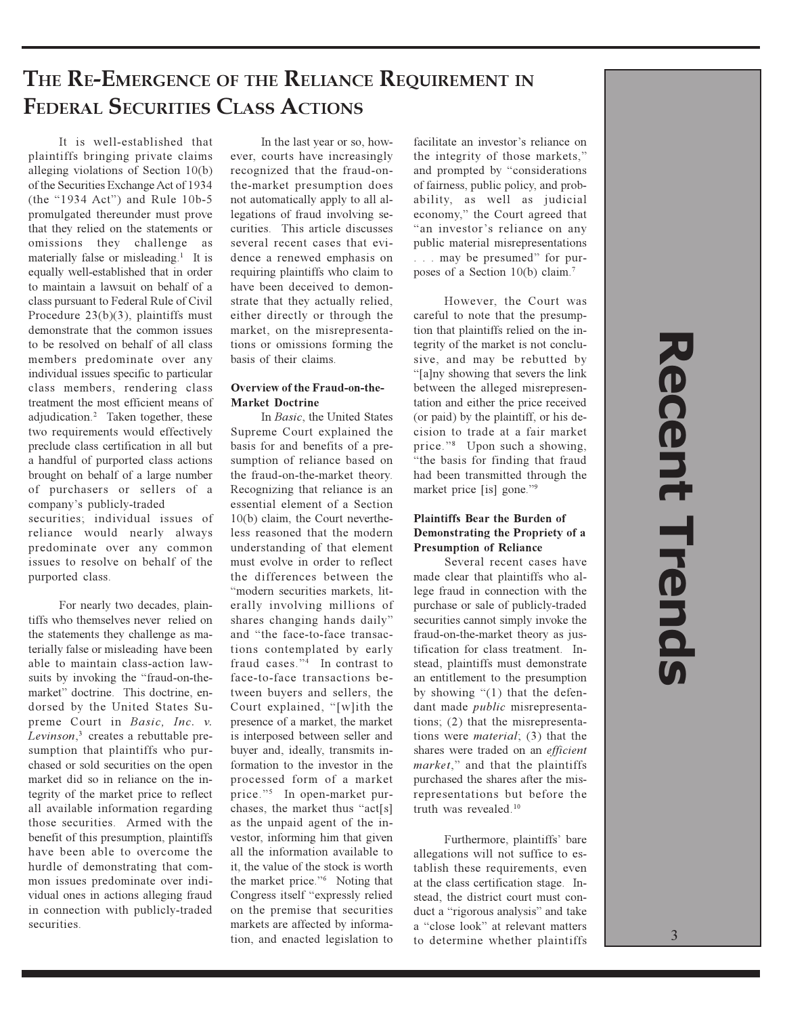#### THE RE-EMERGENCE OF THE RELIANCE REQUIREMENT IN FEDERAL SECURITIES CLASS ACTIONS

It is well-established that plaintiffs bringing private claims alleging violations of Section 10(b) of the Securities Exchange Act of 1934 (the "1934 Act") and Rule 10b-5 promulgated thereunder must prove that they relied on the statements or omissions they challenge as materially false or misleading.<sup>1</sup> It is equally well-established that in order to maintain a lawsuit on behalf of a class pursuant to Federal Rule of Civil Procedure 23(b)(3), plaintiffs must demonstrate that the common issues to be resolved on behalf of all class members predominate over any individual issues specific to particular class members, rendering class treatment the most efficient means of adjudication.<sup>2</sup> Taken together, these two requirements would effectively preclude class certification in all but a handful of purported class actions brought on behalf of a large number of purchasers or sellers of a company's publicly-traded

securities; individual issues of reliance would nearly always predominate over any common issues to resolve on behalf of the purported class.

For nearly two decades, plaintiffs who themselves never relied on the statements they challenge as materially false or misleading have been able to maintain class-action lawsuits by invoking the "fraud-on-themarket" doctrine. This doctrine, endorsed by the United States Supreme Court in Basic, Inc. v. Levinson,<sup>3</sup> creates a rebuttable presumption that plaintiffs who purchased or sold securities on the open market did so in reliance on the integrity of the market price to reflect all available information regarding those securities. Armed with the benefit of this presumption, plaintiffs have been able to overcome the hurdle of demonstrating that common issues predominate over individual ones in actions alleging fraud in connection with publicly-traded securities.

In the last year or so, however, courts have increasingly recognized that the fraud-onthe-market presumption does not automatically apply to all allegations of fraud involving securities. This article discusses several recent cases that evidence a renewed emphasis on requiring plaintiffs who claim to have been deceived to demonstrate that they actually relied, either directly or through the market, on the misrepresentations or omissions forming the basis of their claims.

#### Overview of the Fraud-on-the-Market Doctrine

In Basic, the United States Supreme Court explained the basis for and benefits of a presumption of reliance based on the fraud-on-the-market theory. Recognizing that reliance is an essential element of a Section 10(b) claim, the Court nevertheless reasoned that the modern understanding of that element must evolve in order to reflect the differences between the "modern securities markets, literally involving millions of shares changing hands daily" and "the face-to-face transactions contemplated by early fraud cases." $4$  In contrast to face-to-face transactions between buyers and sellers, the Court explained, "[w]ith the presence of a market, the market is interposed between seller and buyer and, ideally, transmits information to the investor in the processed form of a market price."5 In open-market purchases, the market thus "act[s] as the unpaid agent of the investor, informing him that given all the information available to it, the value of the stock is worth the market price."<sup>6</sup> Noting that Congress itself "expressly relied on the premise that securities markets are affected by information, and enacted legislation to

facilitate an investor's reliance on the integrity of those markets," and prompted by "considerations of fairness, public policy, and probability, as well as judicial economy," the Court agreed that "an investor's reliance on any public material misrepresentations . . . may be presumed" for purposes of a Section 10(b) claim.<sup>7</sup>

However, the Court was careful to note that the presumption that plaintiffs relied on the integrity of the market is not conclusive, and may be rebutted by "[a]ny showing that severs the link between the alleged misrepresentation and either the price received (or paid) by the plaintiff, or his decision to trade at a fair market price."<sup>8</sup> Upon such a showing, "the basis for finding that fraud had been transmitted through the market price [is] gone."<sup>9</sup>

#### Plaintiffs Bear the Burden of Demonstrating the Propriety of a Presumption of Reliance

Several recent cases have made clear that plaintiffs who allege fraud in connection with the purchase or sale of publicly-traded securities cannot simply invoke the fraud-on-the-market theory as justification for class treatment. Instead, plaintiffs must demonstrate an entitlement to the presumption by showing "(1) that the defendant made public misrepresentations; (2) that the misrepresentations were material; (3) that the shares were traded on an efficient market," and that the plaintiffs purchased the shares after the misrepresentations but before the truth was revealed.<sup>10</sup>

Furthermore, plaintiffs' bare allegations will not suffice to establish these requirements, even at the class certification stage. Instead, the district court must conduct a "rigorous analysis" and take a "close look" at relevant matters to determine whether plaintiffs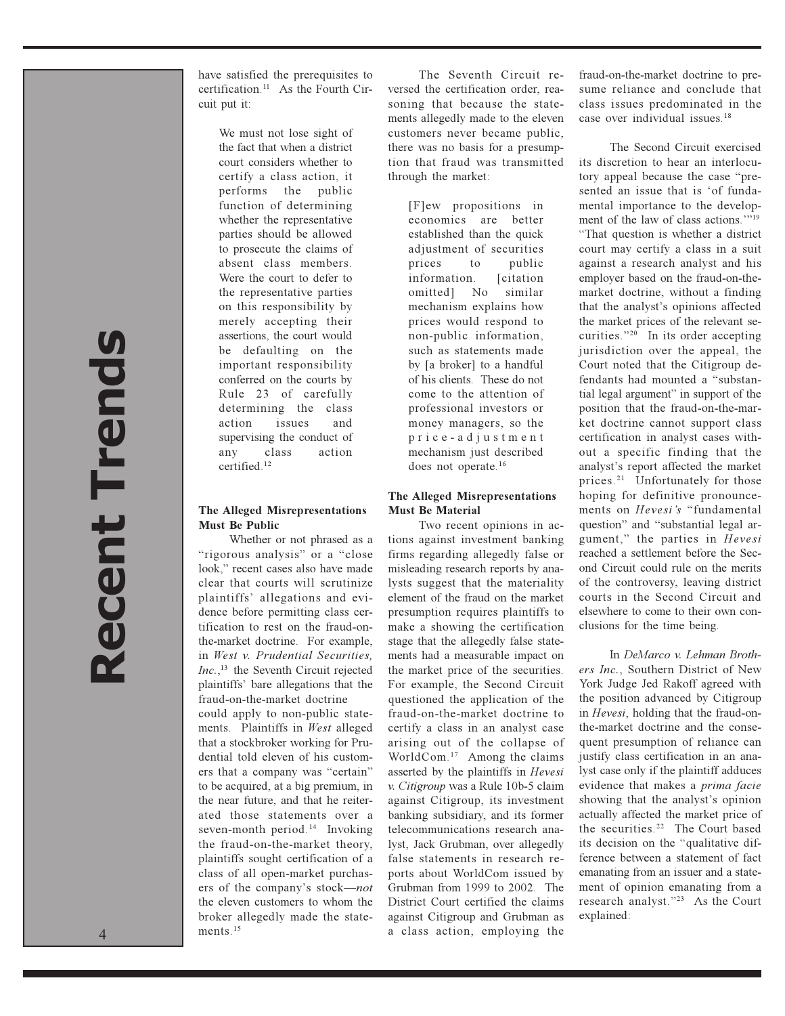have satisfied the prerequisites to certification.11 As the Fourth Circuit put it:

> We must not lose sight of the fact that when a district court considers whether to certify a class action, it performs the public function of determining whether the representative parties should be allowed to prosecute the claims of absent class members. Were the court to defer to the representative parties on this responsibility by merely accepting their assertions, the court would be defaulting on the important responsibility conferred on the courts by Rule 23 of carefully determining the class action issues and supervising the conduct of any class action certified.<sup>12</sup>

#### The Alleged Misrepresentations Must Be Public

Whether or not phrased as a "rigorous analysis" or a "close look," recent cases also have made clear that courts will scrutinize plaintiffs' allegations and evidence before permitting class certification to rest on the fraud-onthe-market doctrine. For example, in West v. Prudential Securities, Inc., <sup>13</sup> the Seventh Circuit rejected plaintiffs' bare allegations that the fraud-on-the-market doctrine

could apply to non-public statements. Plaintiffs in West alleged that a stockbroker working for Prudential told eleven of his customers that a company was "certain" to be acquired, at a big premium, in the near future, and that he reiterated those statements over a seven-month period.<sup>14</sup> Invoking the fraud-on-the-market theory, plaintiffs sought certification of a class of all open-market purchasers of the company's stock—not the eleven customers to whom the broker allegedly made the statements. $15$ 

The Seventh Circuit reversed the certification order, reasoning that because the statements allegedly made to the eleven customers never became public, there was no basis for a presumption that fraud was transmitted through the market:

> [F]ew propositions in economics are better established than the quick adjustment of securities prices to public information. [citation omitted] No similar mechanism explains how prices would respond to non-public information, such as statements made by [a broker] to a handful of his clients. These do not come to the attention of professional investors or money managers, so the price-adjustment mechanism just described does not operate.<sup>16</sup>

#### The Alleged Misrepresentations Must Be Material

Two recent opinions in actions against investment banking firms regarding allegedly false or misleading research reports by analysts suggest that the materiality element of the fraud on the market presumption requires plaintiffs to make a showing the certification stage that the allegedly false statements had a measurable impact on the market price of the securities. For example, the Second Circuit questioned the application of the fraud-on-the-market doctrine to certify a class in an analyst case arising out of the collapse of WorldCom.<sup>17</sup> Among the claims asserted by the plaintiffs in Hevesi v. Citigroup was a Rule 10b-5 claim against Citigroup, its investment banking subsidiary, and its former telecommunications research analyst, Jack Grubman, over allegedly false statements in research reports about WorldCom issued by Grubman from 1999 to 2002. The District Court certified the claims against Citigroup and Grubman as a class action, employing the

fraud-on-the-market doctrine to presume reliance and conclude that class issues predominated in the case over individual issues.<sup>18</sup>

The Second Circuit exercised its discretion to hear an interlocutory appeal because the case "presented an issue that is 'of fundamental importance to the development of the law of class actions.'"<sup>19</sup> "That question is whether a district court may certify a class in a suit against a research analyst and his employer based on the fraud-on-themarket doctrine, without a finding that the analyst's opinions affected the market prices of the relevant securities."<sup>20</sup> In its order accepting jurisdiction over the appeal, the Court noted that the Citigroup defendants had mounted a "substantial legal argument" in support of the position that the fraud-on-the-market doctrine cannot support class certification in analyst cases without a specific finding that the analyst's report affected the market prices.<sup>21</sup> Unfortunately for those hoping for definitive pronouncements on Hevesi's "fundamental question" and "substantial legal argument," the parties in Hevesi reached a settlement before the Second Circuit could rule on the merits of the controversy, leaving district courts in the Second Circuit and elsewhere to come to their own conclusions for the time being.

In DeMarco v. Lehman Brothers Inc., Southern District of New York Judge Jed Rakoff agreed with the position advanced by Citigroup in Hevesi, holding that the fraud-onthe-market doctrine and the consequent presumption of reliance can justify class certification in an analyst case only if the plaintiff adduces evidence that makes a prima facie showing that the analyst's opinion actually affected the market price of the securities.<sup>22</sup> The Court based its decision on the "qualitative difference between a statement of fact emanating from an issuer and a statement of opinion emanating from a research analyst."<sup>23</sup> As the Court explained: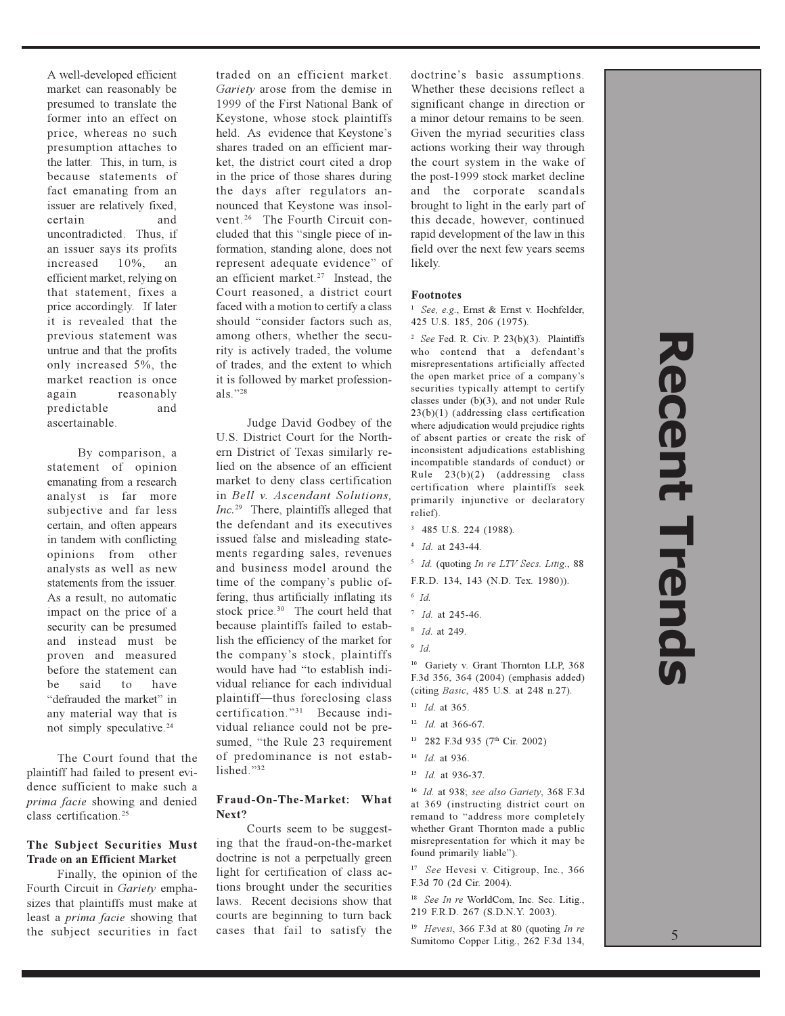A well-developed efficient market can reasonably be presumed to translate the former into an effect on price, whereas no such presumption attaches to the latter. This, in turn, is because statements of fact emanating from an issuer are relatively fixed, certain and uncontradicted. Thus, if an issuer says its profits increased 10%, an efficient market, relying on that statement, fixes a price accordingly. If later it is revealed that the previous statement was untrue and that the profits only increased 5%, the market reaction is once again reasonably predictable and ascertainable.

By comparison, a statement of opinion emanating from a research analyst is far more subjective and far less certain, and often appears in tandem with conflicting opinions from other analysts as well as new statements from the issuer. As a result, no automatic impact on the price of a security can be presumed and instead must be proven and measured before the statement can be said to have "defrauded the market" in any material way that is not simply speculative.<sup>24</sup>

The Court found that the plaintiff had failed to present evidence sufficient to make such a prima facie showing and denied class certification.<sup>25</sup>

#### The Subject Securities Must Trade on an Efficient Market

Finally, the opinion of the Fourth Circuit in Gariety emphasizes that plaintiffs must make at least a prima facie showing that the subject securities in fact

traded on an efficient market. Gariety arose from the demise in 1999 of the First National Bank of Keystone, whose stock plaintiffs held. As evidence that Keystone's shares traded on an efficient market, the district court cited a drop in the price of those shares during the days after regulators announced that Keystone was insolvent.<sup>26</sup> The Fourth Circuit concluded that this "single piece of information, standing alone, does not represent adequate evidence" of an efficient market.<sup>27</sup> Instead, the Court reasoned, a district court faced with a motion to certify a class should "consider factors such as, among others, whether the security is actively traded, the volume of trades, and the extent to which it is followed by market professionals."<sup>28</sup>

Judge David Godbey of the U.S. District Court for the Northern District of Texas similarly relied on the absence of an efficient market to deny class certification in Bell v. Ascendant Solutions, Inc.<sup>29</sup> There, plaintiffs alleged that the defendant and its executives issued false and misleading statements regarding sales, revenues and business model around the time of the company's public offering, thus artificially inflating its stock price.<sup>30</sup> The court held that because plaintiffs failed to establish the efficiency of the market for the company's stock, plaintiffs would have had "to establish individual reliance for each individual plaintiff—thus foreclosing class certification."31 Because individual reliance could not be presumed, "the Rule 23 requirement of predominance is not established<sup>332</sup>

#### Fraud-On-The-Market: What Next?

Courts seem to be suggesting that the fraud-on-the-market doctrine is not a perpetually green light for certification of class actions brought under the securities laws. Recent decisions show that courts are beginning to turn back cases that fail to satisfy the doctrine's basic assumptions. Whether these decisions reflect a significant change in direction or a minor detour remains to be seen. Given the myriad securities class actions working their way through the court system in the wake of the post-1999 stock market decline and the corporate scandals brought to light in the early part of this decade, however, continued rapid development of the law in this field over the next few years seems likely.

#### Footnotes

<sup>1</sup> See, e.g., Ernst & Ernst v. Hochfelder, 425 U.S. 185, 206 (1975).

<sup>2</sup> See Fed. R. Civ. P. 23(b)(3). Plaintiffs who contend that a defendant's misrepresentations artificially affected the open market price of a company's securities typically attempt to certify classes under (b)(3), and not under Rule 23(b)(1) (addressing class certification where adjudication would prejudice rights of absent parties or create the risk of inconsistent adjudications establishing incompatible standards of conduct) or Rule 23(b)(2) (addressing class certification where plaintiffs seek primarily injunctive or declaratory relief).

- 3 485 U.S. 224 (1988).
- <sup>4</sup> Id. at 243-44.
- <sup>5</sup> Id. (quoting In re LTV Secs. Litig., 88
- F.R.D. 134, 143 (N.D. Tex. 1980)).
- $6$  Id.
- $7$  *Id.* at 245-46.
- <sup>8</sup> Id. at 249.
- $9$  Id.

<sup>10</sup> Gariety v. Grant Thornton LLP, 368 F.3d 356, 364 (2004) (emphasis added) (citing Basic, 485 U.S. at 248 n.27).

- $11$  *Id.* at 365.
- <sup>12</sup> *Id.* at 366-67.
- <sup>13</sup> 282 F.3d 935 (7<sup>th</sup> Cir. 2002)
- <sup>14</sup> *Id.* at 936.
- <sup>15</sup> Id. at 936-37.

<sup>16</sup> Id. at 938; see also Gariety, 368 F.3d at 369 (instructing district court on remand to "address more completely whether Grant Thornton made a public misrepresentation for which it may be found primarily liable").

<sup>17</sup> See Hevesi v. Citigroup, Inc., 366 F.3d 70 (2d Cir. 2004).

<sup>18</sup> See In re WorldCom, Inc. Sec. Litig., 219 F.R.D. 267 (S.D.N.Y. 2003).

<sup>19</sup> Hevesi, 366 F.3d at 80 (quoting In re Sumitomo Copper Litig., 262 F.3d 134,

# 5Recent Trends **Recent Trends**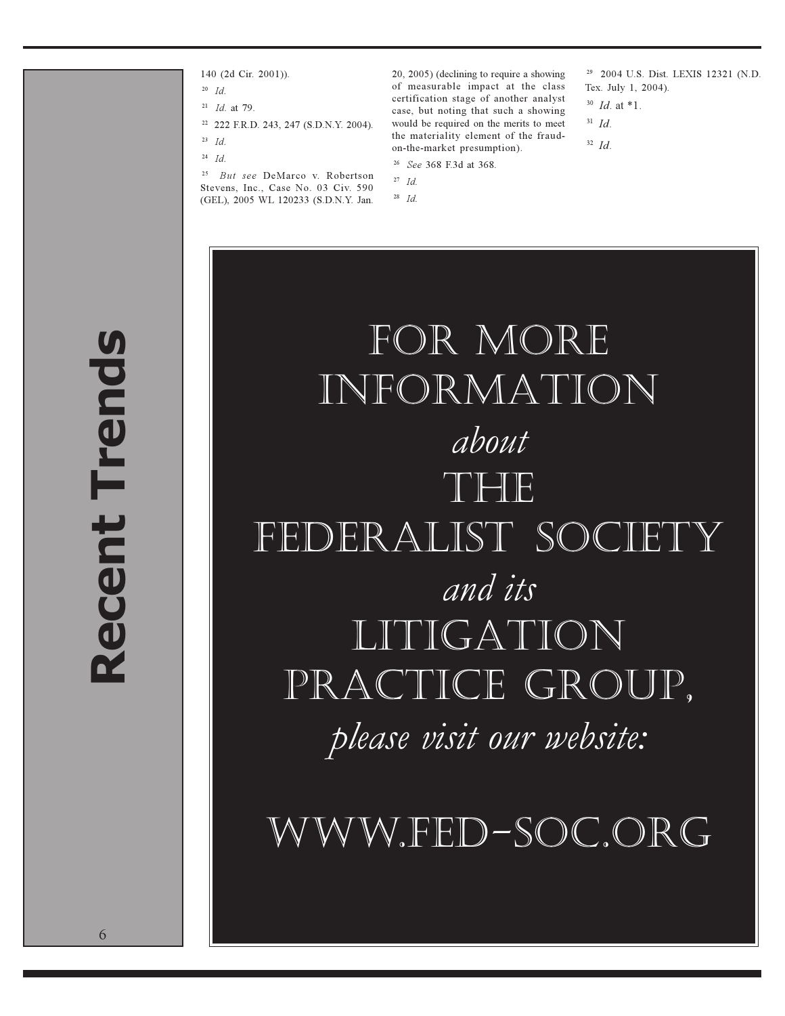6 Recent Trends **Recent Trends**  140 (2d Cir. 2001)).

- <sup>20</sup> Id.
- <sup>21</sup> Id. at 79.

<sup>22</sup> 222 F.R.D. 243, 247 (S.D.N.Y. 2004).

- $23$  *Id.*
- <sup>24</sup> Id.

<sup>25</sup> But see DeMarco v. Robertson Stevens, Inc., Case No. 03 Civ. 590 (GEL), 2005 WL 120233 (S.D.N.Y. Jan.

20, 2005) (declining to require a showing of measurable impact at the class certification stage of another analyst case, but noting that such a showing would be required on the merits to meet the materiality element of the fraudon-the-market presumption).

| <sup>26</sup> See 368 F.3d at 368. |
|------------------------------------|
|------------------------------------|

 $28$  *Id.* 

<sup>29</sup> 2004 U.S. Dist. LEXIS 12321 (N.D. Tex. July 1, 2004).

 $30$  *Id.* at  $*1$ .

 $31$  Id.

 $32$  *Id.* 

FOR MORE INFORMATION about THE FEDERALIST SOCIETY and its LITIGATION PRACTICE GROUP, please visit our website:

www.fed-soc.org

<sup>27</sup> Id.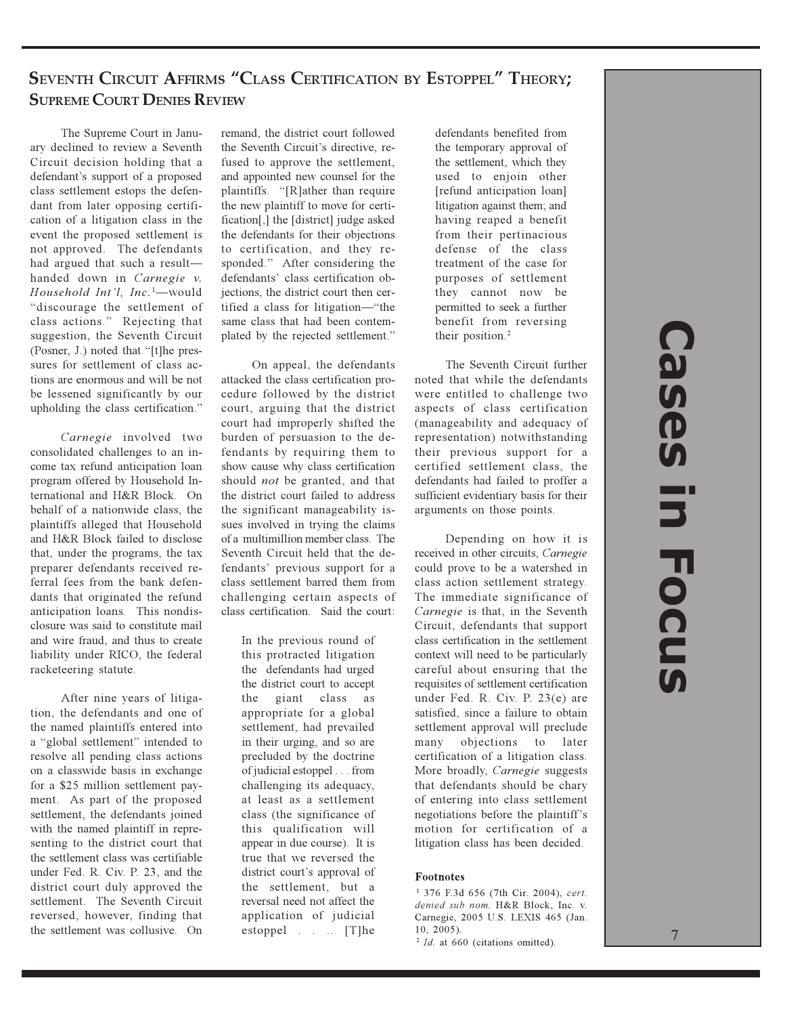#### SEVENTH CIRCUIT AFFIRMS "CLASS CERTIFICATION BY ESTOPPEL" THEORY: SUPREME COURT DENIES REVIEW

The Supreme Court in January declined to review a Seventh Circuit decision holding that a defendant's support of a proposed class settlement estops the defendant from later opposing certification of a litigation class in the event the proposed settlement is not approved. The defendants had argued that such a result handed down in Carnegie v. Household Int'l, Inc.<sup>1</sup> —would "discourage the settlement of class actions." Rejecting that suggestion, the Seventh Circuit (Posner, J.) noted that "[t]he pressures for settlement of class actions are enormous and will be not be lessened significantly by our upholding the class certification."

Carnegie involved two consolidated challenges to an income tax refund anticipation loan program offered by Household International and H&R Block. On behalf of a nationwide class, the plaintiffs alleged that Household and H&R Block failed to disclose that, under the programs, the tax preparer defendants received referral fees from the bank defendants that originated the refund anticipation loans. This nondisclosure was said to constitute mail and wire fraud, and thus to create liability under RICO, the federal racketeering statute.

After nine years of litigation, the defendants and one of the named plaintiffs entered into a "global settlement" intended to resolve all pending class actions on a classwide basis in exchange for a \$25 million settlement payment. As part of the proposed settlement, the defendants joined with the named plaintiff in representing to the district court that the settlement class was certifiable under Fed. R. Civ. P. 23, and the district court duly approved the settlement. The Seventh Circuit reversed, however, finding that the settlement was collusive. On remand, the district court followed the Seventh Circuit's directive, refused to approve the settlement, and appointed new counsel for the plaintiffs. "[R]ather than require the new plaintiff to move for certification[,] the [district] judge asked the defendants for their objections to certification, and they responded." After considering the defendants' class certification objections, the district court then certified a class for litigation—"the same class that had been contemplated by the rejected settlement."

On appeal, the defendants attacked the class certification procedure followed by the district court, arguing that the district court had improperly shifted the burden of persuasion to the defendants by requiring them to show cause why class certification should not be granted, and that the district court failed to address the significant manageability issues involved in trying the claims of a multimillion member class. The Seventh Circuit held that the defendants' previous support for a class settlement barred them from challenging certain aspects of class certification. Said the court:

> In the previous round of this protracted litigation the defendants had urged the district court to accept the giant class as appropriate for a global settlement, had prevailed in their urging, and so are precluded by the doctrine of judicial estoppel . . . from challenging its adequacy, at least as a settlement class (the significance of this qualification will appear in due course). It is true that we reversed the district court's approval of the settlement, but a reversal need not affect the application of judicial estoppel . . .. [T]he

defendants benefited from the temporary approval of the settlement, which they used to enjoin other [refund anticipation loan] litigation against them; and having reaped a benefit from their pertinacious defense of the class treatment of the case for purposes of settlement they cannot now be permitted to seek a further benefit from reversing their position.<sup>2</sup>

The Seventh Circuit further noted that while the defendants were entitled to challenge two aspects of class certification (manageability and adequacy of representation) notwithstanding their previous support for a certified settlement class, the defendants had failed to proffer a sufficient evidentiary basis for their arguments on those points.

Depending on how it is received in other circuits, Carnegie could prove to be a watershed in class action settlement strategy. The immediate significance of Carnegie is that, in the Seventh Circuit, defendants that support class certification in the settlement context will need to be particularly careful about ensuring that the requisites of settlement certification under Fed. R. Civ. P. 23(e) are satisfied, since a failure to obtain settlement approval will preclude many objections to later certification of a litigation class. More broadly, Carnegie suggests that defendants should be chary of entering into class settlement negotiations before the plaintiff's motion for certification of a litigation class has been decided.

#### Footnotes

<sup>2</sup> Id. at 660 (citations omitted).

<sup>1</sup> 376 F.3d 656 (7th Cir. 2004), cert. denied sub nom. H&R Block, Inc. v. Carnegie, 2005 U.S. LEXIS 465 (Jan. 10, 2005).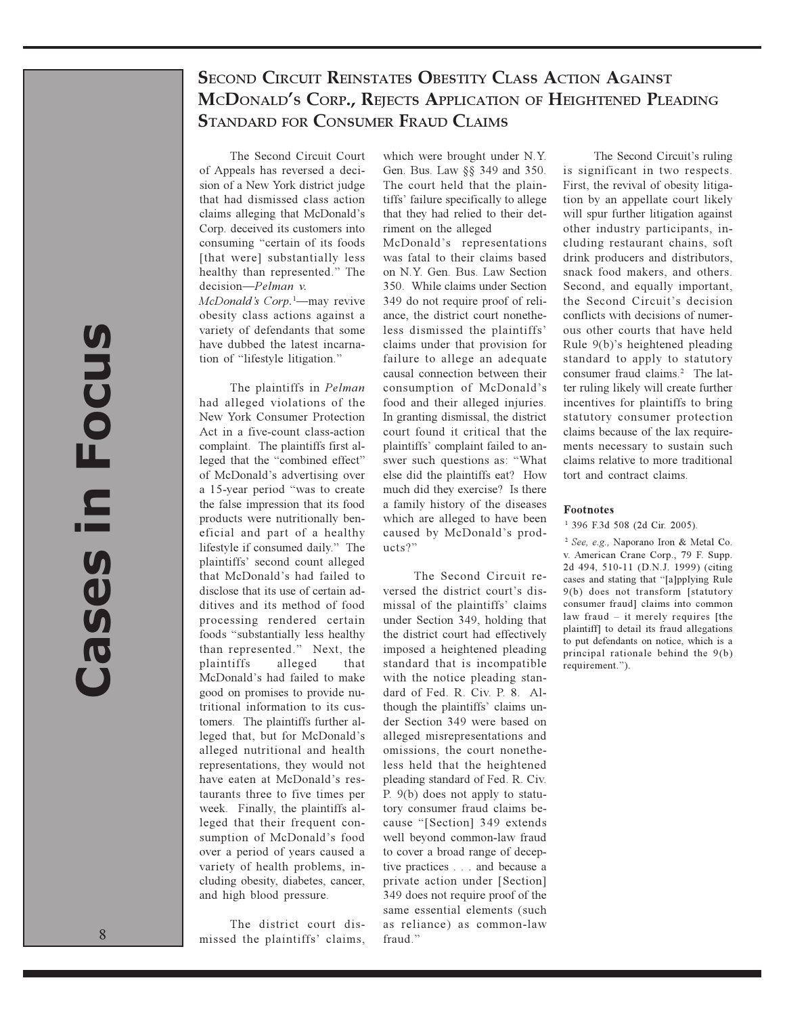# 8Cases in Focus Focus Ξ Ses

#### SECOND CIRCUIT REINSTATES OBESTITY CLASS ACTION AGAINST MCDONALD'S CORP., REJECTS APPLICATION OF HEIGHTENED PLEADING STANDARD FOR CONSUMER FRAUD CLAIMS

The Second Circuit Court of Appeals has reversed a decision of a New York district judge that had dismissed class action claims alleging that McDonald's Corp. deceived its customers into consuming "certain of its foods [that were] substantially less healthy than represented." The decision—Pelman v. McDonald's Corp.<sup>1</sup>—may revive obesity class actions against a variety of defendants that some have dubbed the latest incarnation of "lifestyle litigation."

The plaintiffs in Pelman had alleged violations of the New York Consumer Protection Act in a five-count class-action complaint. The plaintiffs first alleged that the "combined effect" of McDonald's advertising over a 15-year period "was to create the false impression that its food products were nutritionally beneficial and part of a healthy lifestyle if consumed daily." The plaintiffs' second count alleged that McDonald's had failed to disclose that its use of certain additives and its method of food processing rendered certain foods "substantially less healthy than represented." Next, the plaintiffs alleged that McDonald's had failed to make good on promises to provide nutritional information to its customers. The plaintiffs further alleged that, but for McDonald's alleged nutritional and health representations, they would not have eaten at McDonald's restaurants three to five times per week. Finally, the plaintiffs alleged that their frequent consumption of McDonald's food over a period of years caused a variety of health problems, including obesity, diabetes, cancer, and high blood pressure.

The district court dismissed the plaintiffs' claims, which were brought under N.Y. Gen. Bus. Law §§ 349 and 350. The court held that the plaintiffs' failure specifically to allege that they had relied to their detriment on the alleged

McDonald's representations was fatal to their claims based on N.Y. Gen. Bus. Law Section 350. While claims under Section 349 do not require proof of reliance, the district court nonetheless dismissed the plaintiffs' claims under that provision for failure to allege an adequate causal connection between their consumption of McDonald's food and their alleged injuries. In granting dismissal, the district court found it critical that the plaintiffs' complaint failed to answer such questions as: "What else did the plaintiffs eat? How much did they exercise? Is there a family history of the diseases which are alleged to have been caused by McDonald's products?"

The Second Circuit reversed the district court's dismissal of the plaintiffs' claims under Section 349, holding that the district court had effectively imposed a heightened pleading standard that is incompatible with the notice pleading standard of Fed. R. Civ. P. 8. Although the plaintiffs' claims under Section 349 were based on alleged misrepresentations and omissions, the court nonetheless held that the heightened pleading standard of Fed. R. Civ. P. 9(b) does not apply to statutory consumer fraud claims because "[Section] 349 extends well beyond common-law fraud to cover a broad range of deceptive practices . . . and because a private action under [Section] 349 does not require proof of the same essential elements (such as reliance) as common-law fraud."

The Second Circuit's ruling is significant in two respects. First, the revival of obesity litigation by an appellate court likely will spur further litigation against other industry participants, including restaurant chains, soft drink producers and distributors, snack food makers, and others. Second, and equally important, the Second Circuit's decision conflicts with decisions of numerous other courts that have held Rule 9(b)'s heightened pleading standard to apply to statutory consumer fraud claims.<sup>2</sup> The latter ruling likely will create further incentives for plaintiffs to bring statutory consumer protection claims because of the lax requirements necessary to sustain such claims relative to more traditional tort and contract claims.

#### Footnotes

1 396 F.3d 508 (2d Cir. 2005).

<sup>2</sup> See, e.g., Naporano Iron & Metal Co. v. American Crane Corp., 79 F. Supp. 2d 494, 510-11 (D.N.J. 1999) (citing cases and stating that "[a]pplying Rule 9(b) does not transform [statutory consumer fraud] claims into common law fraud – it merely requires [the plaintiff] to detail its fraud allegations to put defendants on notice, which is a principal rationale behind the 9(b) requirement.").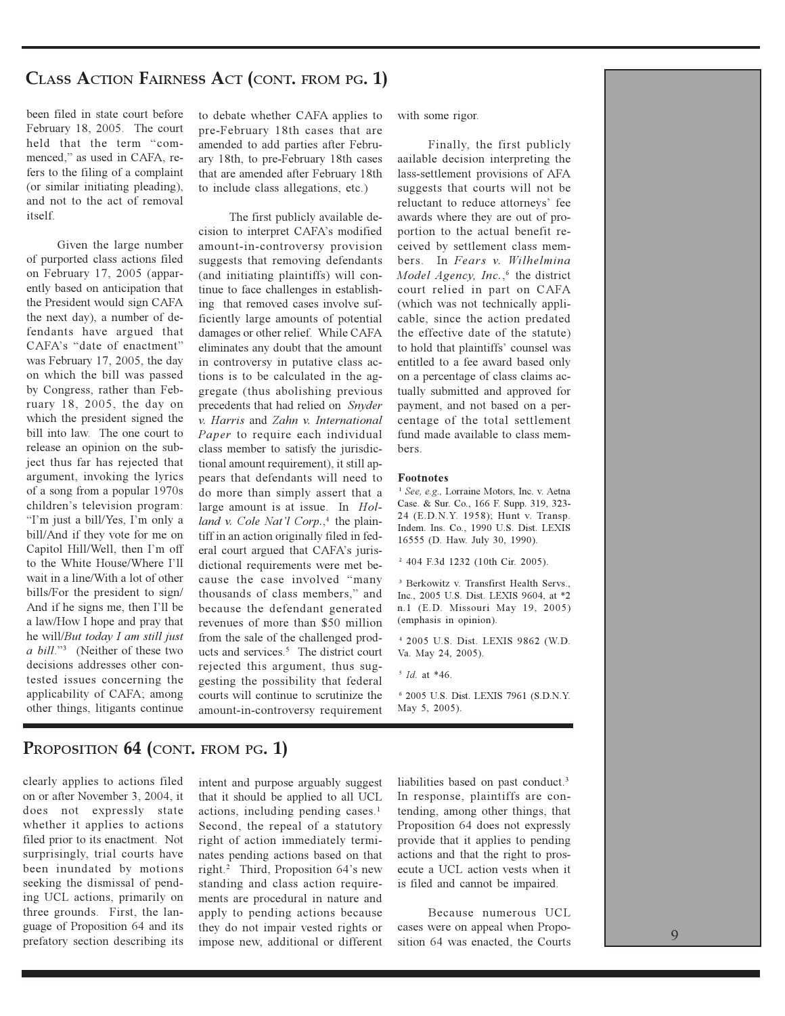#### CLASS ACTION FAIRNESS ACT (CONT. FROM PG. 1)

been filed in state court before February 18, 2005. The court held that the term "commenced," as used in CAFA, refers to the filing of a complaint (or similar initiating pleading), and not to the act of removal itself.

Given the large number of purported class actions filed on February 17, 2005 (apparently based on anticipation that the President would sign CAFA the next day), a number of defendants have argued that CAFA's "date of enactment" was February 17, 2005, the day on which the bill was passed by Congress, rather than February 18, 2005, the day on which the president signed the bill into law. The one court to release an opinion on the subject thus far has rejected that argument, invoking the lyrics of a song from a popular 1970s children's television program: "I'm just a bill/Yes, I'm only a bill/And if they vote for me on Capitol Hill/Well, then I'm off to the White House/Where I'll wait in a line/With a lot of other bills/For the president to sign/ And if he signs me, then I'll be a law/How I hope and pray that he will/But today I am still just a bill."<sup>3</sup> (Neither of these two decisions addresses other contested issues concerning the applicability of CAFA; among other things, litigants continue to debate whether CAFA applies to pre-February 18th cases that are amended to add parties after February 18th, to pre-February 18th cases that are amended after February 18th to include class allegations, etc.)

The first publicly available decision to interpret CAFA's modified amount-in-controversy provision suggests that removing defendants (and initiating plaintiffs) will continue to face challenges in establishing that removed cases involve sufficiently large amounts of potential damages or other relief. While CAFA eliminates any doubt that the amount in controversy in putative class actions is to be calculated in the aggregate (thus abolishing previous precedents that had relied on Snyder v. Harris and Zahn v. International Paper to require each individual class member to satisfy the jurisdictional amount requirement), it still appears that defendants will need to do more than simply assert that a large amount is at issue. In Holland v. Cole Nat'l Corp.,<sup>4</sup> the plaintiff in an action originally filed in federal court argued that CAFA's jurisdictional requirements were met because the case involved "many thousands of class members," and because the defendant generated revenues of more than \$50 million from the sale of the challenged products and services.<sup>5</sup> The district court rejected this argument, thus suggesting the possibility that federal courts will continue to scrutinize the amount-in-controversy requirement

with some rigor.

Finally, the first publicly aailable decision interpreting the lass-settlement provisions of AFA suggests that courts will not be reluctant to reduce attorneys' fee awards where they are out of proportion to the actual benefit received by settlement class members. In Fears v. Wilhelmina Model Agency, Inc.,<sup>6</sup> the district court relied in part on CAFA (which was not technically applicable, since the action predated the effective date of the statute) to hold that plaintiffs' counsel was entitled to a fee award based only on a percentage of class claims actually submitted and approved for payment, and not based on a percentage of the total settlement fund made available to class members.

#### Footnotes

<sup>1</sup> See, e.g., Lorraine Motors, Inc. v. Aetna Case. & Sur. Co., 166 F. Supp. 319, 323- 24 (E.D.N.Y. 1958); Hunt v. Transp. Indem. Ins. Co., 1990 U.S. Dist. LEXIS 16555 (D. Haw. July 30, 1990).

2 404 F.3d 1232 (10th Cir. 2005).

3 Berkowitz v. Transfirst Health Servs., Inc., 2005 U.S. Dist. LEXIS 9604, at \*2 n.1 (E.D. Missouri May 19, 2005) (emphasis in opinion).

4 2005 U.S. Dist. LEXIS 9862 (W.D. Va. May 24, 2005).

 $5$  *Id.* at  $*46$ .

6 2005 U.S. Dist. LEXIS 7961 (S.D.N.Y. May 5, 2005).

#### PROPOSITION 64 (CONT. FROM PG. 1)

clearly applies to actions filed on or after November 3, 2004, it does not expressly state whether it applies to actions filed prior to its enactment. Not surprisingly, trial courts have been inundated by motions seeking the dismissal of pending UCL actions, primarily on three grounds. First, the language of Proposition 64 and its prefatory section describing its

intent and purpose arguably suggest that it should be applied to all UCL actions, including pending cases.<sup>1</sup> Second, the repeal of a statutory right of action immediately terminates pending actions based on that right.<sup>2</sup> Third, Proposition 64's new standing and class action requirements are procedural in nature and apply to pending actions because they do not impair vested rights or impose new, additional or different

liabilities based on past conduct.<sup>3</sup> In response, plaintiffs are contending, among other things, that Proposition 64 does not expressly provide that it applies to pending actions and that the right to prosecute a UCL action vests when it is filed and cannot be impaired.

Because numerous UCL cases were on appeal when Proposition 64 was enacted, the Courts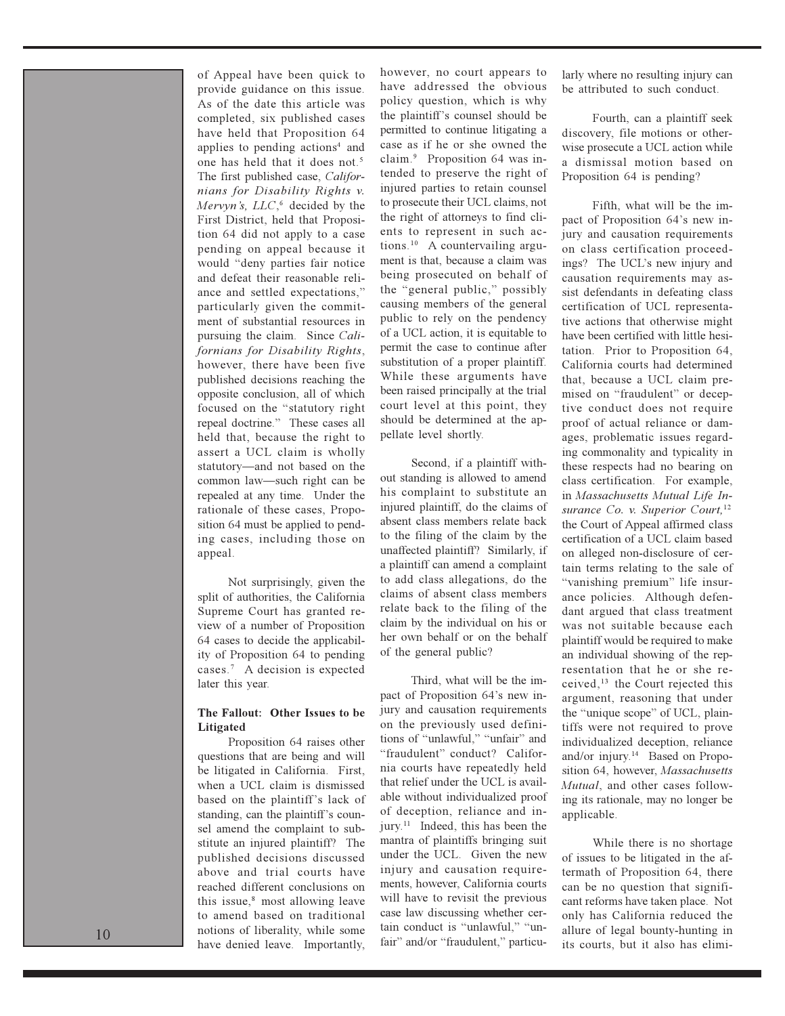of Appeal have been quick to provide guidance on this issue. As of the date this article was completed, six published cases have held that Proposition 64 applies to pending actions<sup>4</sup> and one has held that it does not.<sup>5</sup> The first published case, Californians for Disability Rights v. Mervyn's, LLC,<sup>6</sup> decided by the First District, held that Proposition 64 did not apply to a case pending on appeal because it would "deny parties fair notice and defeat their reasonable reliance and settled expectations," particularly given the commitment of substantial resources in pursuing the claim. Since Californians for Disability Rights, however, there have been five published decisions reaching the opposite conclusion, all of which focused on the "statutory right repeal doctrine." These cases all held that, because the right to assert a UCL claim is wholly statutory—and not based on the common law—such right can be repealed at any time. Under the rationale of these cases, Proposition 64 must be applied to pending cases, including those on appeal.

Not surprisingly, given the split of authorities, the California Supreme Court has granted review of a number of Proposition 64 cases to decide the applicability of Proposition 64 to pending cases.<sup>7</sup> A decision is expected later this year.

#### The Fallout: Other Issues to be Litigated

Proposition 64 raises other questions that are being and will be litigated in California. First, when a UCL claim is dismissed based on the plaintiff's lack of standing, can the plaintiff's counsel amend the complaint to substitute an injured plaintiff? The published decisions discussed above and trial courts have reached different conclusions on this issue,<sup>8</sup> most allowing leave to amend based on traditional notions of liberality, while some have denied leave. Importantly,

however, no court appears to have addressed the obvious policy question, which is why the plaintiff's counsel should be permitted to continue litigating a case as if he or she owned the claim.9 Proposition 64 was intended to preserve the right of injured parties to retain counsel to prosecute their UCL claims, not the right of attorneys to find clients to represent in such actions.10 A countervailing argument is that, because a claim was being prosecuted on behalf of the "general public," possibly causing members of the general public to rely on the pendency of a UCL action, it is equitable to permit the case to continue after substitution of a proper plaintiff. While these arguments have been raised principally at the trial court level at this point, they should be determined at the appellate level shortly.

Second, if a plaintiff without standing is allowed to amend his complaint to substitute an injured plaintiff, do the claims of absent class members relate back to the filing of the claim by the unaffected plaintiff? Similarly, if a plaintiff can amend a complaint to add class allegations, do the claims of absent class members relate back to the filing of the claim by the individual on his or her own behalf or on the behalf of the general public?

Third, what will be the impact of Proposition 64's new injury and causation requirements on the previously used definitions of "unlawful," "unfair" and "fraudulent" conduct? California courts have repeatedly held that relief under the UCL is available without individualized proof of deception, reliance and injury.<sup>11</sup> Indeed, this has been the mantra of plaintiffs bringing suit under the UCL. Given the new injury and causation requirements, however, California courts will have to revisit the previous case law discussing whether certain conduct is "unlawful," "unfair" and/or "fraudulent," particularly where no resulting injury can be attributed to such conduct.

Fourth, can a plaintiff seek discovery, file motions or otherwise prosecute a UCL action while a dismissal motion based on Proposition 64 is pending?

Fifth, what will be the impact of Proposition 64's new injury and causation requirements on class certification proceedings? The UCL's new injury and causation requirements may assist defendants in defeating class certification of UCL representative actions that otherwise might have been certified with little hesitation. Prior to Proposition 64, California courts had determined that, because a UCL claim premised on "fraudulent" or deceptive conduct does not require proof of actual reliance or damages, problematic issues regarding commonality and typicality in these respects had no bearing on class certification. For example, in Massachusetts Mutual Life Insurance  $Co.$  v. Superior  $Conrt<sub>12</sub>$ the Court of Appeal affirmed class certification of a UCL claim based on alleged non-disclosure of certain terms relating to the sale of "vanishing premium" life insurance policies. Although defendant argued that class treatment was not suitable because each plaintiff would be required to make an individual showing of the representation that he or she received,<sup>13</sup> the Court rejected this argument, reasoning that under the "unique scope" of UCL, plaintiffs were not required to prove individualized deception, reliance and/or injury.14 Based on Proposition 64, however, Massachusetts Mutual, and other cases following its rationale, may no longer be applicable.

While there is no shortage of issues to be litigated in the aftermath of Proposition 64, there can be no question that significant reforms have taken place. Not only has California reduced the allure of legal bounty-hunting in its courts, but it also has elimi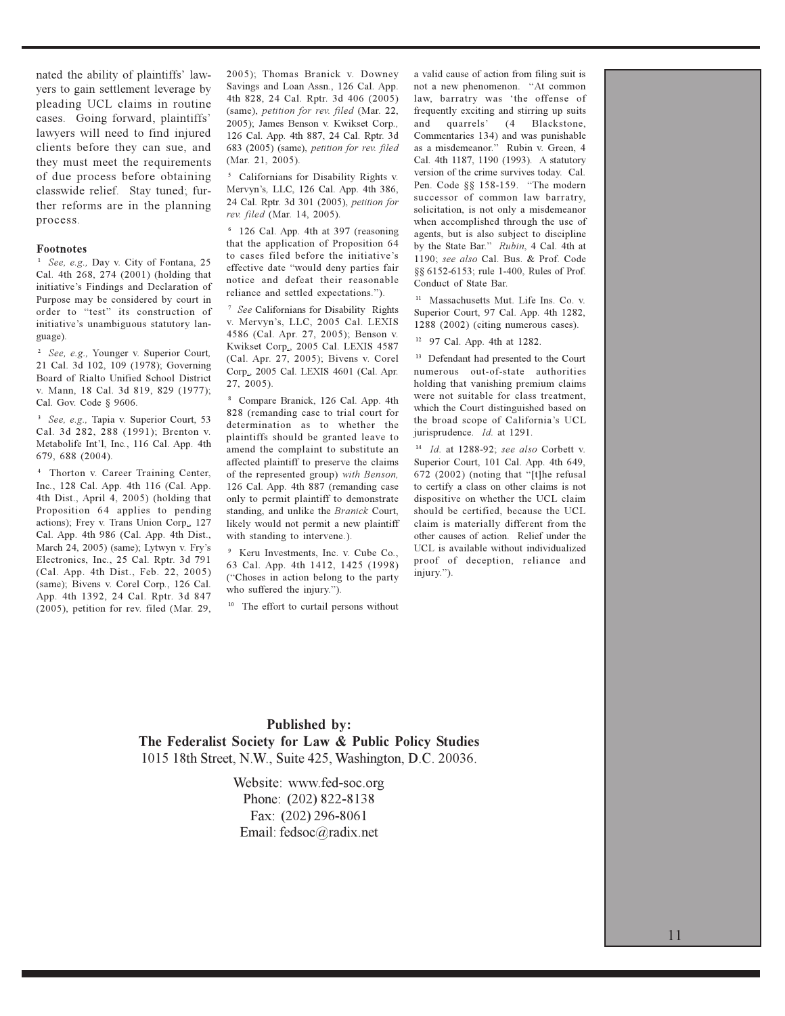nated the ability of plaintiffs' lawyers to gain settlement leverage by pleading UCL claims in routine cases. Going forward, plaintiffs' lawyers will need to find injured clients before they can sue, and they must meet the requirements of due process before obtaining classwide relief. Stay tuned; further reforms are in the planning process.

#### Footnotes

<sup>1</sup> See, e.g., Day v. City of Fontana, 25 Cal. 4th 268, 274 (2001) (holding that initiative's Findings and Declaration of Purpose may be considered by court in order to "test" its construction of initiative's unambiguous statutory language).

<sup>2</sup> See, e.g., Younger v. Superior Court, 21 Cal. 3d 102, 109 (1978); Governing Board of Rialto Unified School District v. Mann, 18 Cal. 3d 819, 829 (1977); Cal. Gov. Code § 9606.

See, e.g., Tapia v. Superior Court, 53 Cal. 3d 282, 288 (1991); Brenton v. Metabolife Int'l, Inc., 116 Cal. App. 4th 679, 688 (2004).

4 Thorton v. Career Training Center, Inc., 128 Cal. App. 4th 116 (Cal. App. 4th Dist., April 4, 2005) (holding that Proposition 64 applies to pending actions); Frey v. Trans Union Corp., 127 Cal. App. 4th 986 (Cal. App. 4th Dist., March 24, 2005) (same); Lytwyn v. Fry's Electronics, Inc., 25 Cal. Rptr. 3d 791 (Cal. App. 4th Dist., Feb. 22, 2005) (same); Bivens v. Corel Corp., 126 Cal. App. 4th 1392, 24 Cal. Rptr. 3d 847 (2005), petition for rev. filed (Mar. 29,

2005); Thomas Branick v. Downey Savings and Loan Assn., 126 Cal. App. 4th 828, 24 Cal. Rptr. 3d 406 (2005) (same), petition for rev. filed (Mar. 22, 2005); James Benson v. Kwikset Corp., 126 Cal. App. 4th 887, 24 Cal. Rptr. 3d 683 (2005) (same), petition for rev. filed (Mar. 21, 2005).

5 Californians for Disability Rights v. Mervyn's, LLC, 126 Cal. App. 4th 386, 24 Cal. Rptr. 3d 301 (2005), petition for rev. filed (Mar. 14, 2005).

6 126 Cal. App. 4th at 397 (reasoning that the application of Proposition 64 to cases filed before the initiative's effective date "would deny parties fair notice and defeat their reasonable reliance and settled expectations.").

<sup>7</sup> See Californians for Disability Rights v. Mervyn's, LLC, 2005 Cal. LEXIS 4586 (Cal. Apr. 27, 2005); Benson v. Kwikset Corp., 2005 Cal. LEXIS 4587 (Cal. Apr. 27, 2005); Bivens v. Corel Corp., 2005 Cal. LEXIS 4601 (Cal. Apr. 27, 2005).

8 Compare Branick, 126 Cal. App. 4th 828 (remanding case to trial court for determination as to whether the plaintiffs should be granted leave to amend the complaint to substitute an affected plaintiff to preserve the claims of the represented group) with Benson, 126 Cal. App. 4th 887 (remanding case only to permit plaintiff to demonstrate standing, and unlike the Branick Court, likely would not permit a new plaintiff with standing to intervene.).

9 Keru Investments, Inc. v. Cube Co., 63 Cal. App. 4th 1412, 1425 (1998) ("Choses in action belong to the party who suffered the injury.").

<sup>10</sup> The effort to curtail persons without

a valid cause of action from filing suit is not a new phenomenon. "At common law, barratry was 'the offense of frequently exciting and stirring up suits and quarrels' (4 Blackstone, Commentaries 134) and was punishable as a misdemeanor." Rubin v. Green, 4 Cal. 4th 1187, 1190 (1993). A statutory version of the crime survives today. Cal. Pen. Code §§ 158-159. "The modern successor of common law barratry, solicitation, is not only a misdemeanor when accomplished through the use of agents, but is also subject to discipline by the State Bar." Rubin, 4 Cal. 4th at 1190; see also Cal. Bus. & Prof. Code §§ 6152-6153; rule 1-400, Rules of Prof. Conduct of State Bar.

<sup>11</sup> Massachusetts Mut. Life Ins. Co. v. Superior Court, 97 Cal. App. 4th 1282, 1288 (2002) (citing numerous cases).

<sup>12</sup> 97 Cal. App. 4th at 1282.

<sup>13</sup> Defendant had presented to the Court numerous out-of-state authorities holding that vanishing premium claims were not suitable for class treatment, which the Court distinguished based on the broad scope of California's UCL jurisprudence. *Id.* at 1291.

<sup>14</sup> Id. at 1288-92; see also Corbett v. Superior Court, 101 Cal. App. 4th 649, 672 (2002) (noting that "[t]he refusal to certify a class on other claims is not dispositive on whether the UCL claim should be certified, because the UCL claim is materially different from the other causes of action. Relief under the UCL is available without individualized proof of deception, reliance and injury.").

Published by: The Federalist Society for Law & Public Policy Studies 1015 18th Street, N.W., Suite 425, Washington, D.C. 20036.

> Website: www.fed-soc.org Phone: (202) 822-8138 Fax: (202) 296-8061 Email: fedsoc@radix.net